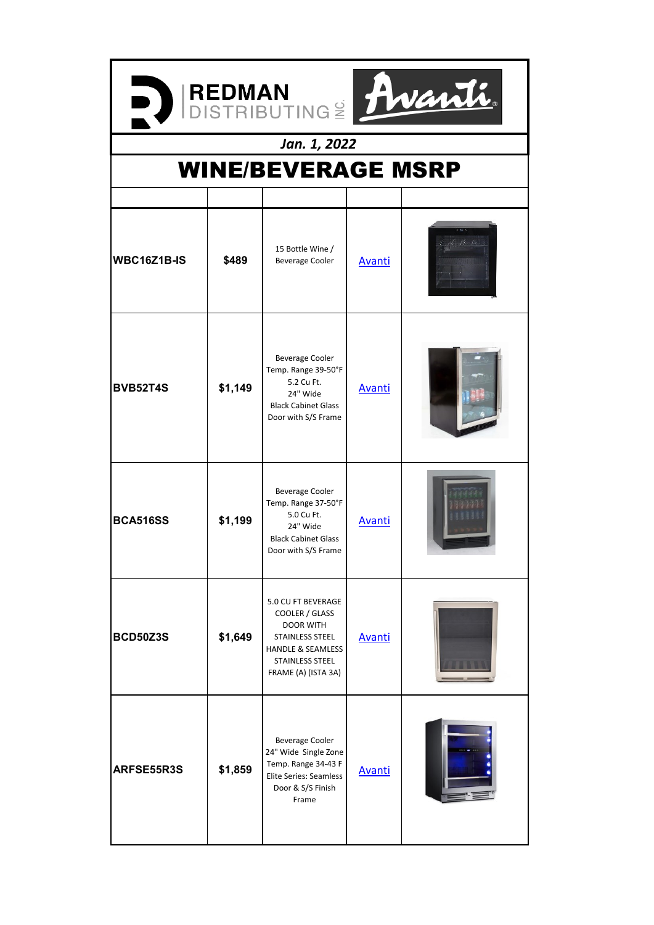|                 |         | REDMAN BUTINGS HVAN                                                                                                                                          |               |  |
|-----------------|---------|--------------------------------------------------------------------------------------------------------------------------------------------------------------|---------------|--|
|                 |         | Jan. 1, 2022                                                                                                                                                 |               |  |
|                 |         | <b>WINE/BEVERAGE MSRP</b>                                                                                                                                    |               |  |
|                 |         |                                                                                                                                                              |               |  |
| WBC16Z1B-IS     | \$489   | 15 Bottle Wine /<br><b>Beverage Cooler</b>                                                                                                                   | Avanti        |  |
| <b>BVB52T4S</b> | \$1,149 | Beverage Cooler<br>Temp. Range 39-50°F<br>5.2 Cu Ft.<br>24" Wide<br><b>Black Cabinet Glass</b><br>Door with S/S Frame                                        | <b>Avanti</b> |  |
| <b>BCA516SS</b> | \$1,199 | Beverage Cooler<br>Temp. Range 37-50°F<br>5.0 Cu Ft.<br>24" Wide<br><b>Black Cabinet Glass</b><br>Door with S/S Frame                                        | Avanti        |  |
| <b>BCD50Z3S</b> | \$1,649 | 5.0 CU FT BEVERAGE<br>COOLER / GLASS<br><b>DOOR WITH</b><br>STAINLESS STEEL<br><b>HANDLE &amp; SEAMLESS</b><br><b>STAINLESS STEEL</b><br>FRAME (A) (ISTA 3A) | <b>Avanti</b> |  |
| ARFSE55R3S      | \$1,859 | Beverage Cooler<br>24" Wide Single Zone<br>Temp. Range 34-43 F<br>Elite Series: Seamless<br>Door & S/S Finish<br>Frame                                       | <b>Avanti</b> |  |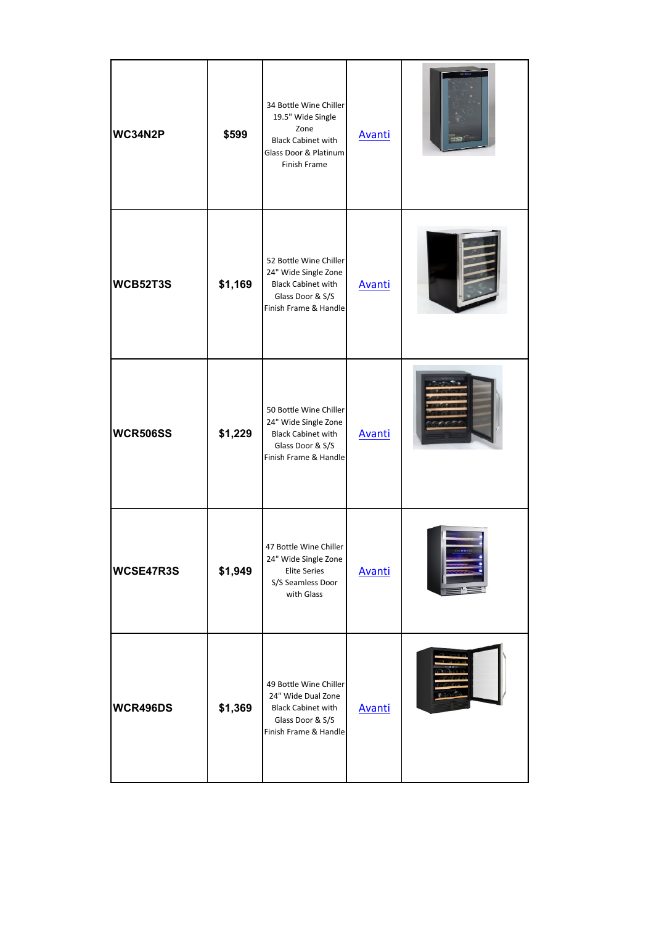| <b>WC34N2P</b>  | \$599   | 34 Bottle Wine Chiller<br>19.5" Wide Single<br>Zone<br><b>Black Cabinet with</b><br>Glass Door & Platinum<br>Finish Frame | <b>Avanti</b> |  |
|-----------------|---------|---------------------------------------------------------------------------------------------------------------------------|---------------|--|
| WCB52T3S        | \$1,169 | 52 Bottle Wine Chiller<br>24" Wide Single Zone<br><b>Black Cabinet with</b><br>Glass Door & S/S<br>Finish Frame & Handle  | <b>Avanti</b> |  |
| <b>WCR506SS</b> | \$1,229 | 50 Bottle Wine Chiller<br>24" Wide Single Zone<br><b>Black Cabinet with</b><br>Glass Door & S/S<br>Finish Frame & Handle  | <b>Avanti</b> |  |
| WCSE47R3S       | \$1,949 | 47 Bottle Wine Chiller<br>24" Wide Single Zone<br><b>Elite Series</b><br>S/S Seamless Door<br>with Glass                  | <b>Avanti</b> |  |
| WCR496DS        | \$1,369 | 49 Bottle Wine Chiller<br>24" Wide Dual Zone<br><b>Black Cabinet with</b><br>Glass Door & S/S<br>Finish Frame & Handle    | <b>Avanti</b> |  |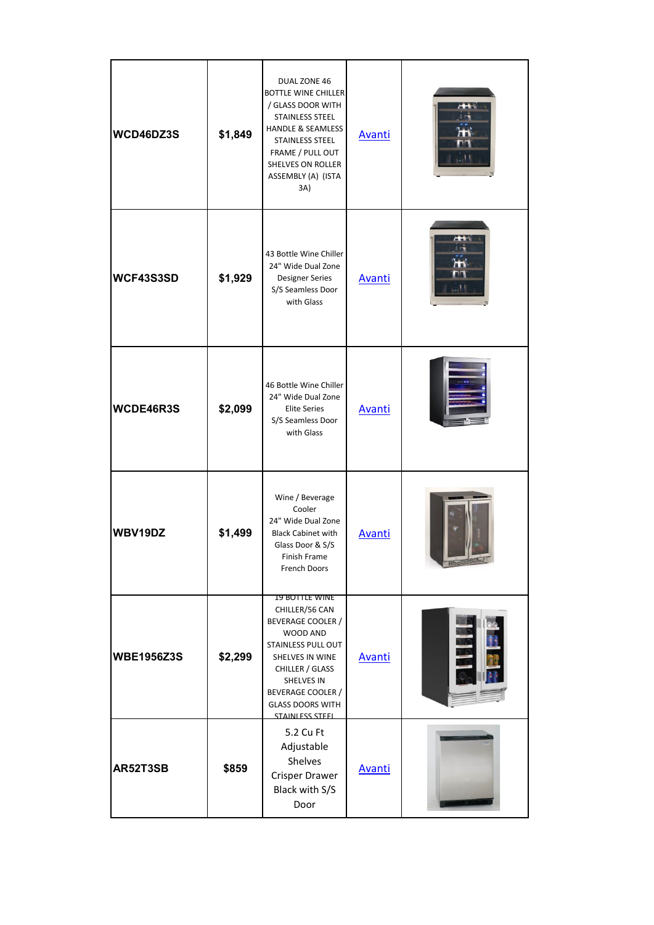| WCD46DZ3S         | \$1,849 | DUAL ZONE 46<br><b>BOTTLE WINE CHILLER</b><br>/ GLASS DOOR WITH<br>STAINLESS STEEL<br><b>HANDLE &amp; SEAMLESS</b><br>STAINLESS STEEL<br>FRAME / PULL OUT<br>SHELVES ON ROLLER<br>ASSEMBLY (A) (ISTA<br>3A)                         | <b>Avanti</b> | <b>HH</b> |
|-------------------|---------|-------------------------------------------------------------------------------------------------------------------------------------------------------------------------------------------------------------------------------------|---------------|-----------|
| WCF43S3SD         | \$1,929 | 43 Bottle Wine Chiller<br>24" Wide Dual Zone<br><b>Designer Series</b><br>S/S Seamless Door<br>with Glass                                                                                                                           | <b>Avanti</b> |           |
| WCDE46R3S         | \$2,099 | 46 Bottle Wine Chiller<br>24" Wide Dual Zone<br><b>Elite Series</b><br>S/S Seamless Door<br>with Glass                                                                                                                              | <b>Avanti</b> |           |
| WBV19DZ           | \$1,499 | Wine / Beverage<br>Cooler<br>24" Wide Dual Zone<br><b>Black Cabinet with</b><br>Glass Door & S/S<br>Finish Frame<br><b>French Doors</b>                                                                                             | Avanti        |           |
| <b>WBE1956Z3S</b> | \$2,299 | <b>19 BOTTLE WINE</b><br>CHILLER/56 CAN<br><b>BEVERAGE COOLER /</b><br>WOOD AND<br>STAINLESS PULL OUT<br>SHELVES IN WINE<br>CHILLER / GLASS<br>SHELVES IN<br>BEVERAGE COOLER /<br><b>GLASS DOORS WITH</b><br><b>STAINLESS STEEL</b> | <b>Avanti</b> |           |
| AR52T3SB          | \$859   | 5.2 Cu Ft<br>Adjustable<br>Shelves<br>Crisper Drawer<br>Black with S/S<br>Door                                                                                                                                                      | <b>Avanti</b> |           |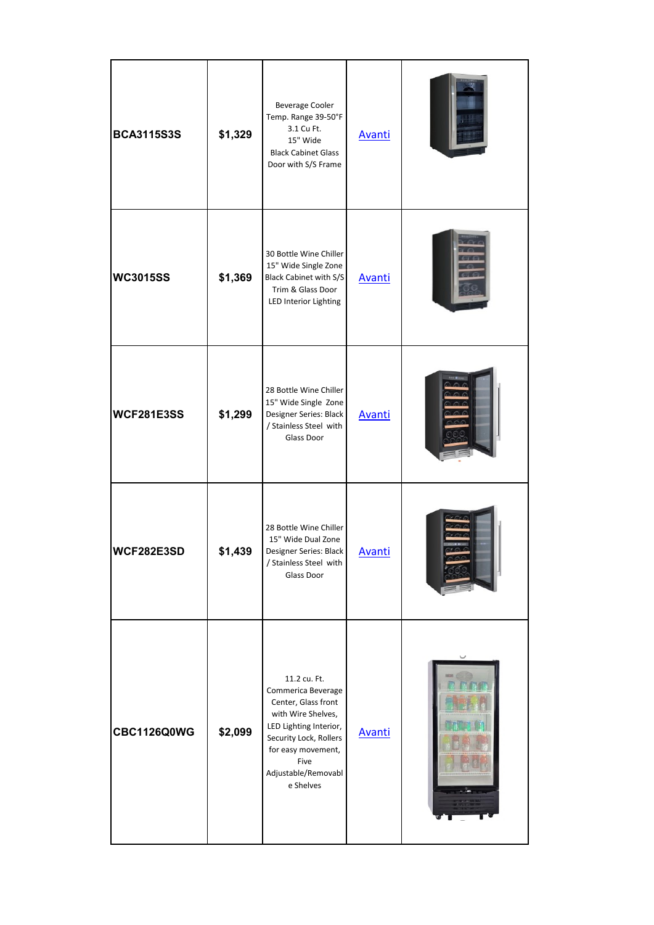| <b>BCA3115S3S</b>  | \$1,329 | Beverage Cooler<br>Temp. Range 39-50°F<br>3.1 Cu Ft.<br>15" Wide<br><b>Black Cabinet Glass</b><br>Door with S/S Frame                                                                                 | <b>Avanti</b> |  |
|--------------------|---------|-------------------------------------------------------------------------------------------------------------------------------------------------------------------------------------------------------|---------------|--|
| <b>WC3015SS</b>    | \$1,369 | 30 Bottle Wine Chiller<br>15" Wide Single Zone<br><b>Black Cabinet with S/S</b><br>Trim & Glass Door<br>LED Interior Lighting                                                                         | <b>Avanti</b> |  |
| <b>WCF281E3SS</b>  | \$1,299 | 28 Bottle Wine Chiller<br>15" Wide Single Zone<br>Designer Series: Black<br>/ Stainless Steel with<br>Glass Door                                                                                      | <b>Avanti</b> |  |
| WCF282E3SD         | \$1,439 | 28 Bottle Wine Chiller<br>15" Wide Dual Zone<br>Designer Series: Black<br>/ Stainless Steel with<br>Glass Door                                                                                        | <b>Avanti</b> |  |
| <b>CBC1126Q0WG</b> | \$2,099 | 11.2 cu. Ft.<br>Commerica Beverage<br>Center, Glass front<br>with Wire Shelves,<br>LED Lighting Interior,<br>Security Lock, Rollers<br>for easy movement,<br>Five<br>Adjustable/Removabl<br>e Shelves | <b>Avanti</b> |  |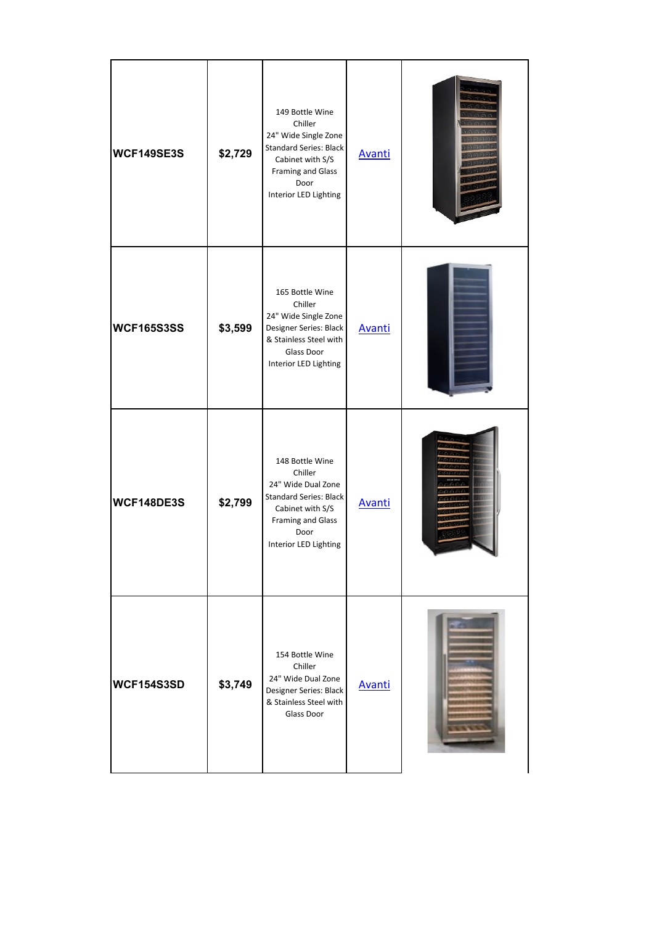| <b>WCF149SE3S</b> | \$2,729 | 149 Bottle Wine<br>Chiller<br>24" Wide Single Zone<br><b>Standard Series: Black</b><br>Cabinet with S/S<br>Framing and Glass<br>Door<br>Interior LED Lighting | <b>Avanti</b> |  |
|-------------------|---------|---------------------------------------------------------------------------------------------------------------------------------------------------------------|---------------|--|
| <b>WCF165S3SS</b> | \$3,599 | 165 Bottle Wine<br>Chiller<br>24" Wide Single Zone<br>Designer Series: Black<br>& Stainless Steel with<br>Glass Door<br>Interior LED Lighting                 | <b>Avanti</b> |  |
| <b>WCF148DE3S</b> | \$2,799 | 148 Bottle Wine<br>Chiller<br>24" Wide Dual Zone<br><b>Standard Series: Black</b><br>Cabinet with S/S<br>Framing and Glass<br>Door<br>Interior LED Lighting   | Avanti        |  |
| <b>WCF154S3SD</b> | \$3,749 | 154 Bottle Wine<br>Chiller<br>24" Wide Dual Zone<br>Designer Series: Black<br>& Stainless Steel with<br>Glass Door                                            | <b>Avanti</b> |  |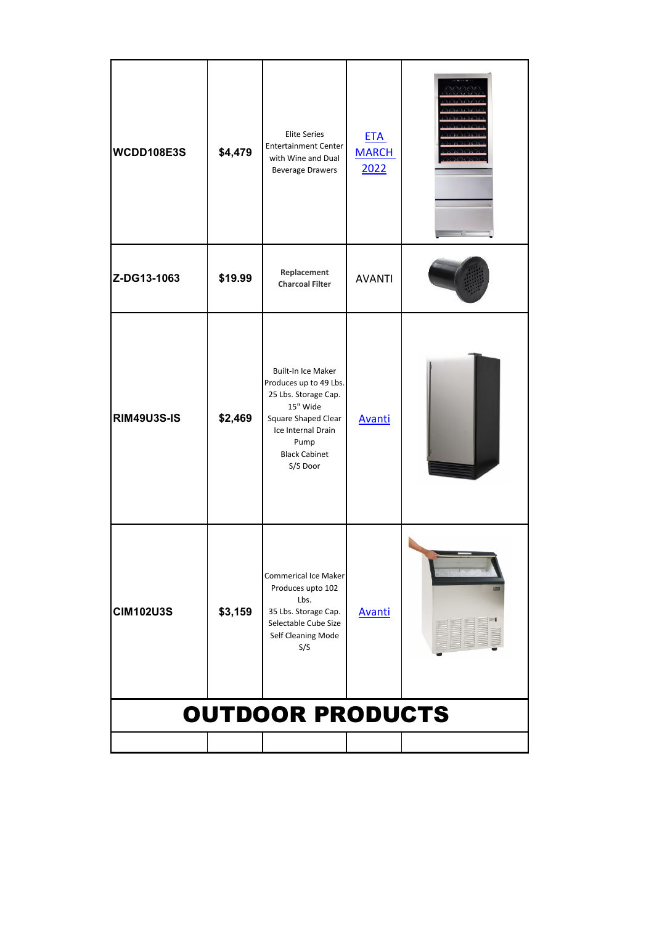| <b>WCDD108E3S</b>  | \$4,479 | <b>Elite Series</b><br><b>Entertainment Center</b><br>with Wine and Dual<br><b>Beverage Drawers</b>                                                                       | <b>ETA</b><br><b>MARCH</b><br>2022 |  |
|--------------------|---------|---------------------------------------------------------------------------------------------------------------------------------------------------------------------------|------------------------------------|--|
| Z-DG13-1063        | \$19.99 | Replacement<br><b>Charcoal Filter</b>                                                                                                                                     | <b>AVANTI</b>                      |  |
| <b>RIM49U3S-IS</b> | \$2,469 | Built-In Ice Maker<br>Produces up to 49 Lbs.<br>25 Lbs. Storage Cap.<br>15" Wide<br>Square Shaped Clear<br>Ice Internal Drain<br>Pump<br><b>Black Cabinet</b><br>S/S Door | <b>Avanti</b>                      |  |
| <b>CIM102U3S</b>   | \$3,159 | <b>Commerical Ice Maker</b><br>Produces upto 102<br>Lbs.<br>35 Lbs. Storage Cap.<br>Selectable Cube Size<br>Self Cleaning Mode<br>S/S                                     | <b>Avanti</b>                      |  |
|                    |         | <b>OUTDOOR PRODUCTS</b>                                                                                                                                                   |                                    |  |
|                    |         |                                                                                                                                                                           |                                    |  |